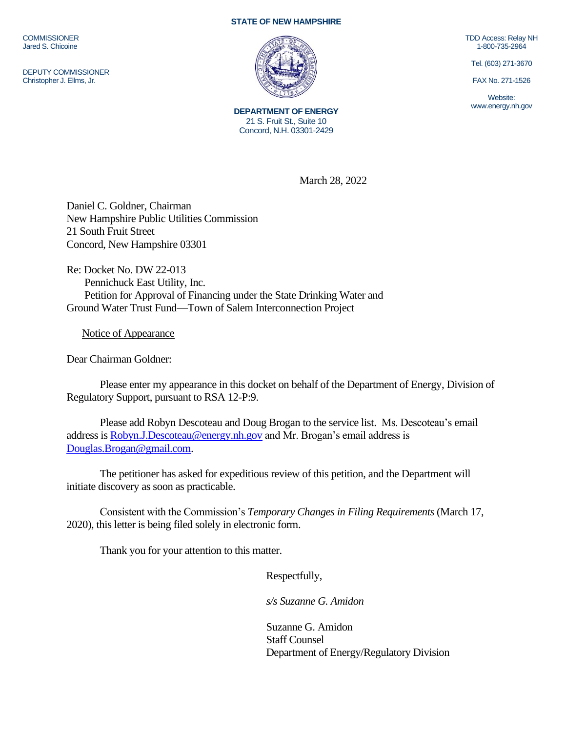**COMMISSIONER** Jared S. Chicoine

DEPUTY COMMISSIONER Christopher J. Ellms, Jr.

## **STATE OF NEW HAMPSHIRE**



**DEPARTMENT OF ENERGY** 21 S. Fruit St., Suite 10 Concord, N.H. 03301-2429

TDD Access: Relay NH 1-800-735-2964

Tel. (603) 271-3670

FAX No. 271-1526

Website: www.energy.nh.gov

March 28, 2022

Daniel C. Goldner, Chairman New Hampshire Public Utilities Commission 21 South Fruit Street Concord, New Hampshire 03301

Re: Docket No. DW 22-013 Pennichuck East Utility, Inc. Petition for Approval of Financing under the State Drinking Water and Ground Water Trust Fund—Town of Salem Interconnection Project

Notice of Appearance

Dear Chairman Goldner:

Please enter my appearance in this docket on behalf of the Department of Energy, Division of Regulatory Support, pursuant to RSA 12-P:9.

Please add Robyn Descoteau and Doug Brogan to the service list. Ms. Descoteau's email address is [Robyn.J.Descoteau@energy.nh.gov](mailto:Robyn.J.Descoteau@energy.nh.gov) and Mr. Brogan's email address is [Douglas.Brogan@gmail.com.](mailto:Douglas.Brogan@gmail.com)

The petitioner has asked for expeditious review of this petition, and the Department will initiate discovery as soon as practicable.

Consistent with the Commission's *Temporary Changes in Filing Requirements* (March 17, 2020), this letter is being filed solely in electronic form.

Thank you for your attention to this matter.

Respectfully,

*s/s Suzanne G. Amidon*

Suzanne G. Amidon Staff Counsel Department of Energy/Regulatory Division